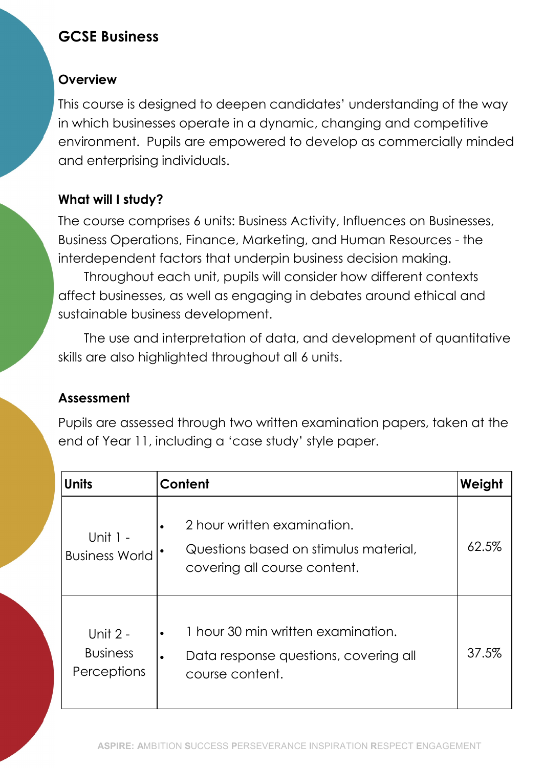# GCSE Business

#### **Overview**

This course is designed to deepen candidates' understanding of the way in which businesses operate in a dynamic, changing and competitive environment. Pupils are empowered to develop as commercially minded and enterprising individuals.

### What will I study?

The course comprises 6 units: Business Activity, Influences on Businesses, Business Operations, Finance, Marketing, and Human Resources - the interdependent factors that underpin business decision making.

Throughout each unit, pupils will consider how different contexts affect businesses, as well as engaging in debates around ethical and sustainable business development.

The use and interpretation of data, and development of quantitative skills are also highlighted throughout all 6 units.

#### Assessment

Pupils are assessed through two written examination papers, taken at the end of Year 11, including a 'case study' style paper.

| <b>Units</b>                                 | Content                                                                                                     | Weight |
|----------------------------------------------|-------------------------------------------------------------------------------------------------------------|--------|
| Unit $1 -$<br><b>Business World</b>          | 2 hour written examination.<br>Questions based on stimulus material,<br>covering all course content.        | 62.5%  |
| Unit $2 -$<br><b>Business</b><br>Perceptions | 1 hour 30 min written examination.<br>Data response questions, covering all<br>$\bullet$<br>course content. | 37.5%  |